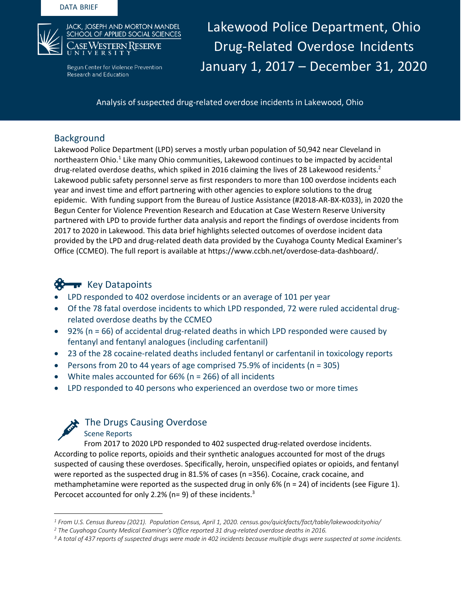

Begun Center for Violence Prevention Research and Education

Lakewood Police Department, Ohio Drug-Related Overdose Incidents January 1, 2017 – December 31, 2020

Analysis of suspected drug-related overdose incidents in Lakewood, Ohio

## Background

Lakewood Police Department (LPD) serves a mostly urban population of 50,942 near Cleveland in northeastern Ohio.<sup>1</sup> Like many Ohio communities, Lakewood continues to be impacted by accidental drug-related overdose deaths, which spiked in 2016 claiming the lives of 28 Lakewood residents.<sup>2</sup> Lakewood public safety personnel serve as first responders to more than 100 overdose incidents each year and invest time and effort partnering with other agencies to explore solutions to the drug epidemic. With funding support from the Bureau of Justice Assistance (#2018-AR-BX-K033), in 2020 the Begun Center for Violence Prevention Research and Education at Case Western Reserve University partnered with LPD to provide further data analysis and report the findings of overdose incidents from 2017 to 2020 in Lakewood. This data brief highlights selected outcomes of overdose incident data provided by the LPD and drug-related death data provided by the Cuyahoga County Medical Examiner's Office (CCMEO). The full report is available at https://www.ccbh.net/overdose-data-dashboard/.

# **Key Datapoints**

- LPD responded to 402 overdose incidents or an average of 101 per year
- Of the 78 fatal overdose incidents to which LPD responded, 72 were ruled accidental drugrelated overdose deaths by the CCMEO
- 92% (n = 66) of accidental drug-related deaths in which LPD responded were caused by fentanyl and fentanyl analogues (including carfentanil)
- 23 of the 28 cocaine-related deaths included fentanyl or carfentanil in toxicology reports
- Persons from 20 to 44 years of age comprised 75.9% of incidents  $(n = 305)$
- White males accounted for 66% (n = 266) of all incidents
- LPD responded to 40 persons who experienced an overdose two or more times



## The Drugs Causing Overdose

Scene Reports

 From 2017 to 2020 LPD responded to 402 suspected drug-related overdose incidents. According to police reports, opioids and their synthetic analogues accounted for most of the drugs suspected of causing these overdoses. Specifically, heroin, unspecified opiates or opioids, and fentanyl were reported as the suspected drug in 81.5% of cases (n =356). Cocaine, crack cocaine, and methamphetamine were reported as the suspected drug in only 6% (n = 24) of incidents (see Figure 1). Percocet accounted for only 2.2% ( $n=9$ ) of these incidents.<sup>3</sup>

*<sup>1</sup> From U.S. Census Bureau (2021). Population Census, April 1, 2020. census.gov/quickfacts/fact/table/lakewoodcityohio/*

*<sup>2</sup> The Cuyahoga County Medical Examiner's Office reported 31 drug-related overdose deaths in 2016.*

*<sup>3</sup> A total of 437 reports of suspected drugs were made in 402 incidents because multiple drugs were suspected at some incidents.*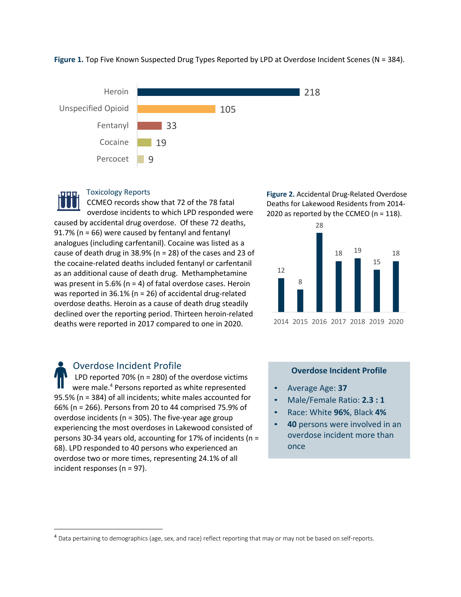Figure 1. Top Five Known Suspected Drug Types Reported by LPD at Overdose Incident Scenes (N = 384).





#### Toxicology Reports

CCMEO records show that 72 of the 78 fatal overdose incidents to which LPD responded were caused by accidental drug overdose. Of these 72 deaths, 91.7% (n = 66) were caused by fentanyl and fentanyl analogues (including carfentanil). Cocaine was listed as a cause of death drug in 38.9% (n = 28) of the cases and 23 of the cocaine-related deaths included fentanyl or carfentanil as an additional cause of death drug. Methamphetamine was present in 5.6% (n = 4) of fatal overdose cases. Heroin was reported in 36.1% (n = 26) of accidental drug-related overdose deaths. Heroin as a cause of death drug steadily declined over the reporting period. Thirteen heroin-related deaths were reported in 2017 compared to one in 2020.

**Figure 2.** Accidental Drug-Related Overdose Deaths for Lakewood Residents from 2014- 2020 as reported by the CCMEO (n = 118).



Overdose Incident Profile LPD reported 70% (n = 280) of the overdose victims were male.<sup>4</sup> Persons reported as white represented 95.5% (n = 384) of all incidents; white males accounted for 66% (n = 266). Persons from 20 to 44 comprised 75.9% of overdose incidents ( $n = 305$ ). The five-year age group experiencing the most overdoses in Lakewood consisted of persons 30-34 years old, accounting for 17% of incidents (n = 68). LPD responded to 40 persons who experienced an overdose two or more times, representing 24.1% of all incident responses (n = 97).

#### **Overdose Incident Profile**

- Average Age: **37**
- Male/Female Ratio: **2.3 : 1**
- Race: White **96%**, Black **4%**
- **40** persons were involved in an overdose incident more than once

<sup>&</sup>lt;sup>4</sup> Data pertaining to demographics (age, sex, and race) reflect reporting that may or may not be based on self-reports.